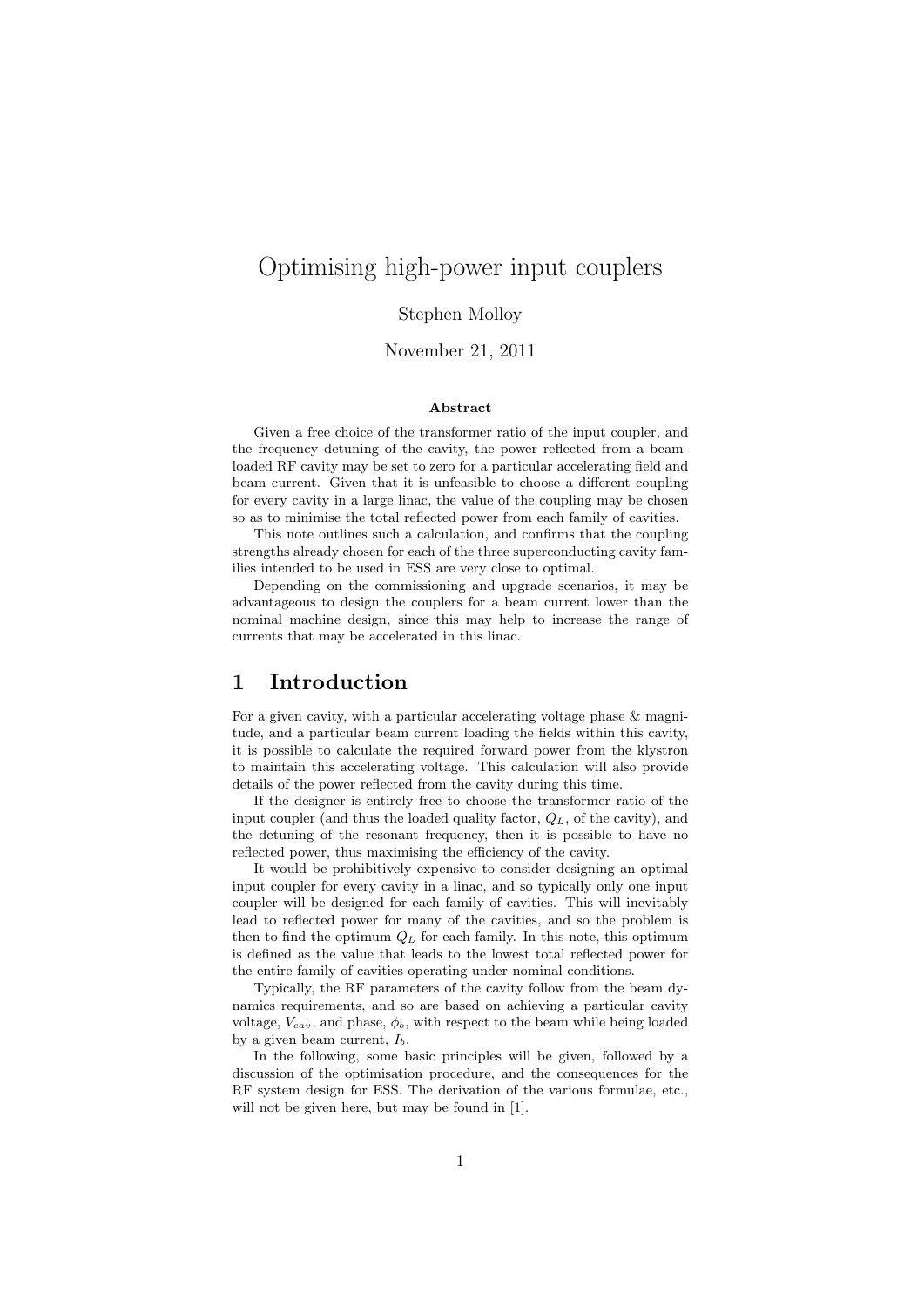# Optimising high-power input couplers

### Stephen Molloy

#### November 21, 2011

#### Abstract

Given a free choice of the transformer ratio of the input coupler, and the frequency detuning of the cavity, the power reflected from a beamloaded RF cavity may be set to zero for a particular accelerating field and beam current. Given that it is unfeasible to choose a different coupling for every cavity in a large linac, the value of the coupling may be chosen so as to minimise the total reflected power from each family of cavities.

This note outlines such a calculation, and confirms that the coupling strengths already chosen for each of the three superconducting cavity families intended to be used in ESS are very close to optimal.

Depending on the commissioning and upgrade scenarios, it may be advantageous to design the couplers for a beam current lower than the nominal machine design, since this may help to increase the range of currents that may be accelerated in this linac.

### 1 Introduction

For a given cavity, with a particular accelerating voltage phase & magnitude, and a particular beam current loading the fields within this cavity, it is possible to calculate the required forward power from the klystron to maintain this accelerating voltage. This calculation will also provide details of the power reflected from the cavity during this time.

If the designer is entirely free to choose the transformer ratio of the input coupler (and thus the loaded quality factor,  $Q_L$ , of the cavity), and the detuning of the resonant frequency, then it is possible to have no reflected power, thus maximising the efficiency of the cavity.

It would be prohibitively expensive to consider designing an optimal input coupler for every cavity in a linac, and so typically only one input coupler will be designed for each family of cavities. This will inevitably lead to reflected power for many of the cavities, and so the problem is then to find the optimum  $Q_L$  for each family. In this note, this optimum is defined as the value that leads to the lowest total reflected power for the entire family of cavities operating under nominal conditions.

Typically, the RF parameters of the cavity follow from the beam dynamics requirements, and so are based on achieving a particular cavity voltage,  $V_{cav}$ , and phase,  $\phi_b$ , with respect to the beam while being loaded by a given beam current,  $I<sub>b</sub>$ .

In the following, some basic principles will be given, followed by a discussion of the optimisation procedure, and the consequences for the RF system design for ESS. The derivation of the various formulae, etc., will not be given here, but may be found in [1].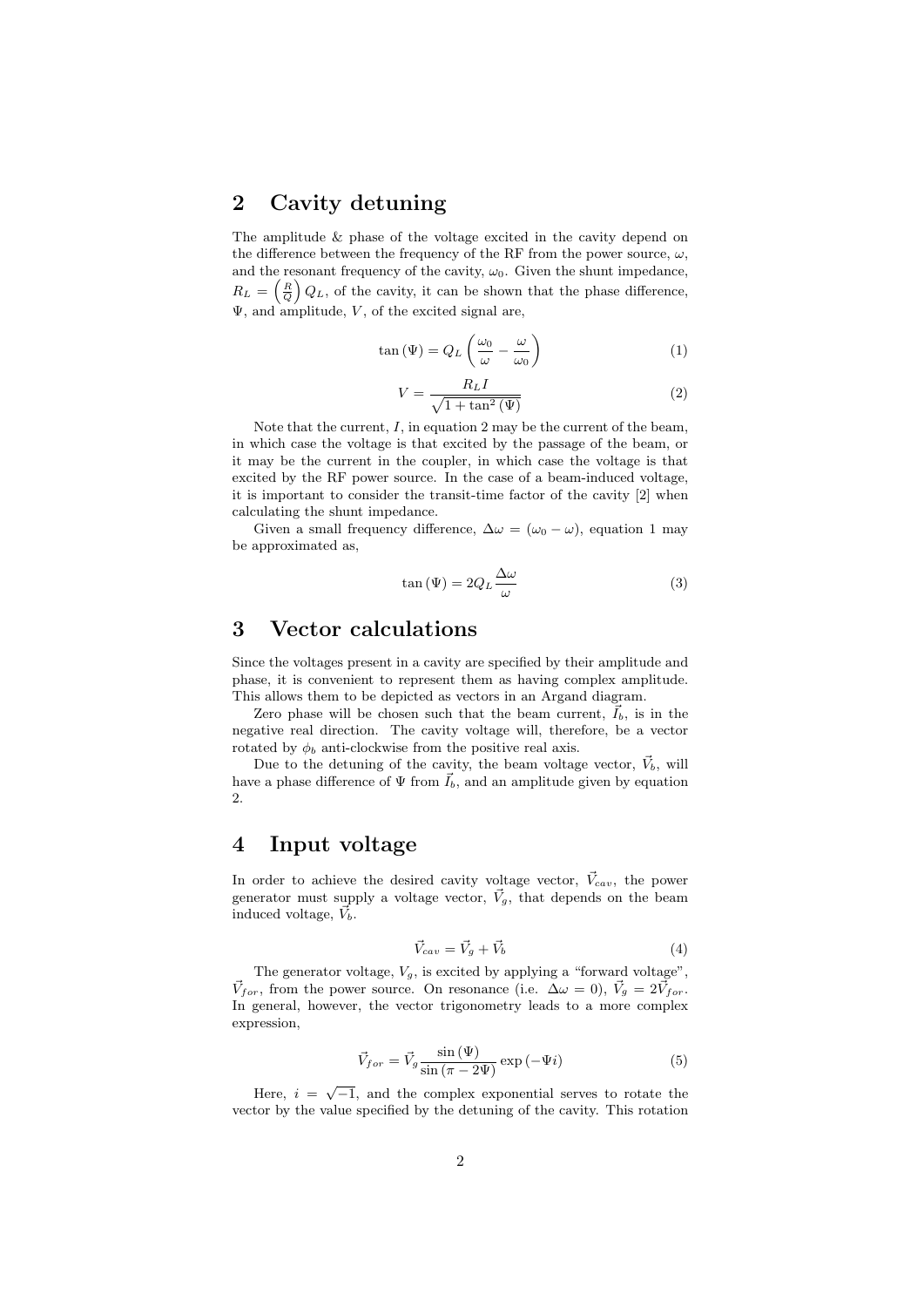# 2 Cavity detuning

The amplitude & phase of the voltage excited in the cavity depend on the difference between the frequency of the RF from the power source,  $\omega$ , and the resonant frequency of the cavity,  $\omega_0$ . Given the shunt impedance,  $R_L = \left(\frac{R}{Q}\right) Q_L$ , of the cavity, it can be shown that the phase difference,  $\Psi$ , and amplitude,  $V$ , of the excited signal are,

$$
\tan\left(\Psi\right) = Q_L \left(\frac{\omega_0}{\omega} - \frac{\omega}{\omega_0}\right) \tag{1}
$$

$$
V = \frac{R_L I}{\sqrt{1 + \tan^2(\Psi)}}\tag{2}
$$

Note that the current,  $I$ , in equation 2 may be the current of the beam, in which case the voltage is that excited by the passage of the beam, or it may be the current in the coupler, in which case the voltage is that excited by the RF power source. In the case of a beam-induced voltage, it is important to consider the transit-time factor of the cavity [2] when calculating the shunt impedance.

Given a small frequency difference,  $\Delta \omega = (\omega_0 - \omega)$ , equation 1 may be approximated as,

$$
\tan(\Psi) = 2Q_L \frac{\Delta \omega}{\omega} \tag{3}
$$

### 3 Vector calculations

Since the voltages present in a cavity are specified by their amplitude and phase, it is convenient to represent them as having complex amplitude. This allows them to be depicted as vectors in an Argand diagram.

Zero phase will be chosen such that the beam current,  $\vec{I}_b$ , is in the negative real direction. The cavity voltage will, therefore, be a vector rotated by  $\phi_b$  anti-clockwise from the positive real axis.

Due to the detuning of the cavity, the beam voltage vector,  $\vec{V}_b$ , will have a phase difference of  $\Psi$  from  $\vec{I}_b$ , and an amplitude given by equation  $\mathcal{D}$ 

## 4 Input voltage

In order to achieve the desired cavity voltage vector,  $\vec{V}_{cav}$ , the power generator must supply a voltage vector,  $\vec{V}_g$ , that depends on the beam induced voltage,  $\vec{V}_b$ .

$$
\vec{V}_{cav} = \vec{V}_g + \vec{V}_b \tag{4}
$$

The generator voltage,  $V_g$ , is excited by applying a "forward voltage",  $\vec{V}_{for}$ , from the power source. On resonance (i.e.  $\Delta \omega = 0$ ),  $\vec{V}_{g} = 2\vec{V}_{for}$ . In general, however, the vector trigonometry leads to a more complex expression,

$$
\vec{V}_{for} = \vec{V}_{g} \frac{\sin(\Psi)}{\sin(\pi - 2\Psi)} \exp(-\Psi i)
$$
\n(5)

Here,  $i = \sqrt{-1}$ , and the complex exponential serves to rotate the vector by the value specified by the detuning of the cavity. This rotation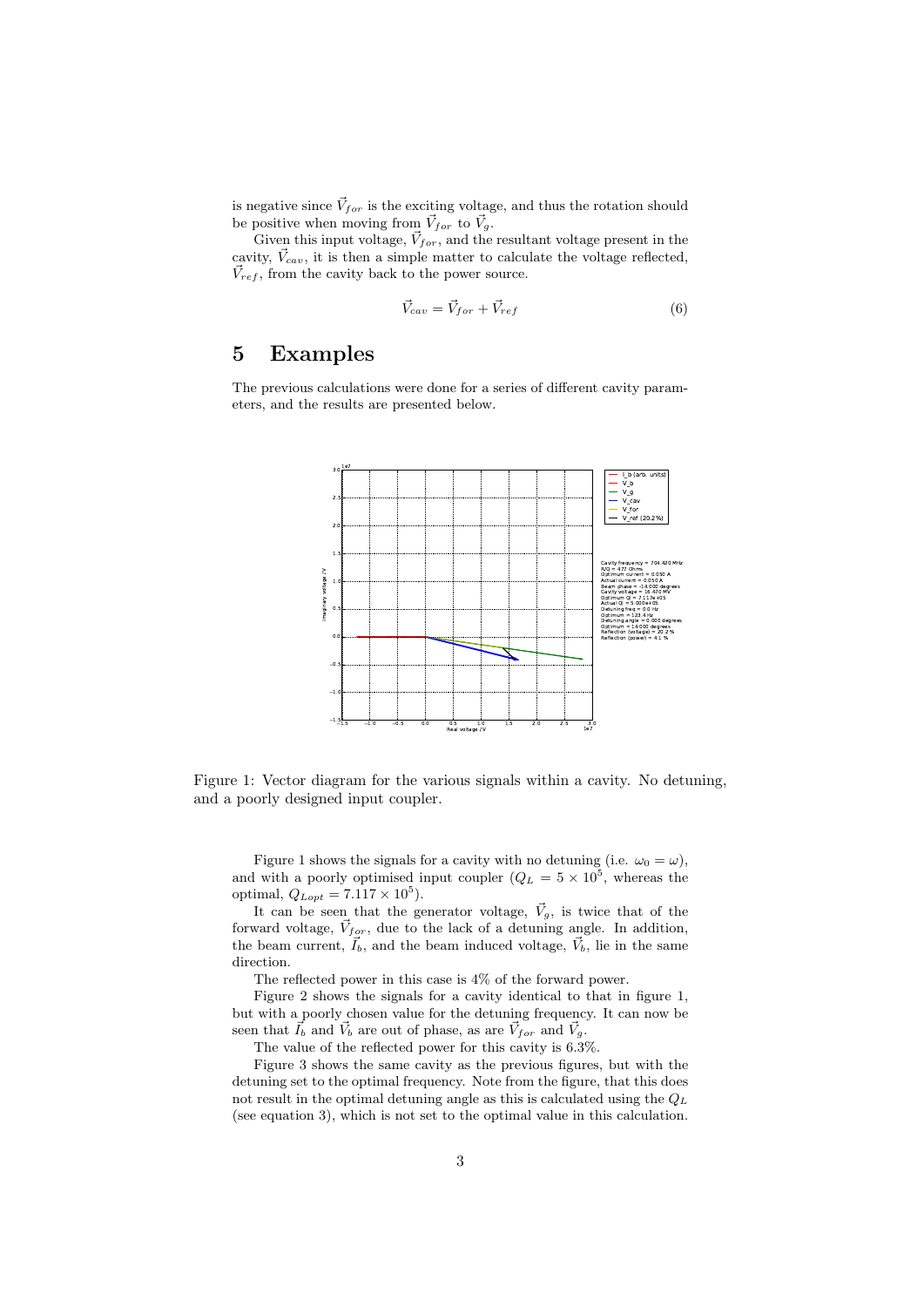is negative since  $\vec{V}_{for}$  is the exciting voltage, and thus the rotation should be positive when moving from  $\vec{V}_{for}$  to  $\vec{V}_{g}$ .

Given this input voltage,  $\vec{V}_{for}$ , and the resultant voltage present in the cavity,  $\vec{V}_{cav}$ , it is then a simple matter to calculate the voltage reflected,  $\vec{V}_{ref}$ , from the cavity back to the power source.

$$
\vec{V}_{cav} = \vec{V}_{for} + \vec{V}_{ref}
$$
\n(6)

# 5 Examples

The previous calculations were done for a series of different cavity parameters, and the results are presented below.



Figure 1: Vector diagram for the various signals within a cavity. No detuning, and a poorly designed input coupler.

Figure 1 shows the signals for a cavity with no detuning (i.e.  $\omega_0 = \omega$ ), and with a poorly optimised input coupler  $(Q_L = 5 \times 10^5)$ , whereas the optimal,  $Q_{Lopt} = 7.117 \times 10^5$ .

It can be seen that the generator voltage,  $\vec{V}_g$ , is twice that of the forward voltage,  $\vec{V}_{for}$ , due to the lack of a detuning angle. In addition, the beam current,  $\vec{I}_b$ , and the beam induced voltage,  $\vec{V}_b$ , lie in the same direction.

The reflected power in this case is 4% of the forward power.

Figure 2 shows the signals for a cavity identical to that in figure 1, but with a poorly chosen value for the detuning frequency. It can now be seen that  $I_{b}$  and  $\vec{V}_{b}$  are out of phase, as are  $\vec{V}_{for}$  and  $\vec{V}_{g}$ .

The value of the reflected power for this cavity is 6.3%.

Figure 3 shows the same cavity as the previous figures, but with the detuning set to the optimal frequency. Note from the figure, that this does not result in the optimal detuning angle as this is calculated using the  $Q_L$ (see equation 3), which is not set to the optimal value in this calculation.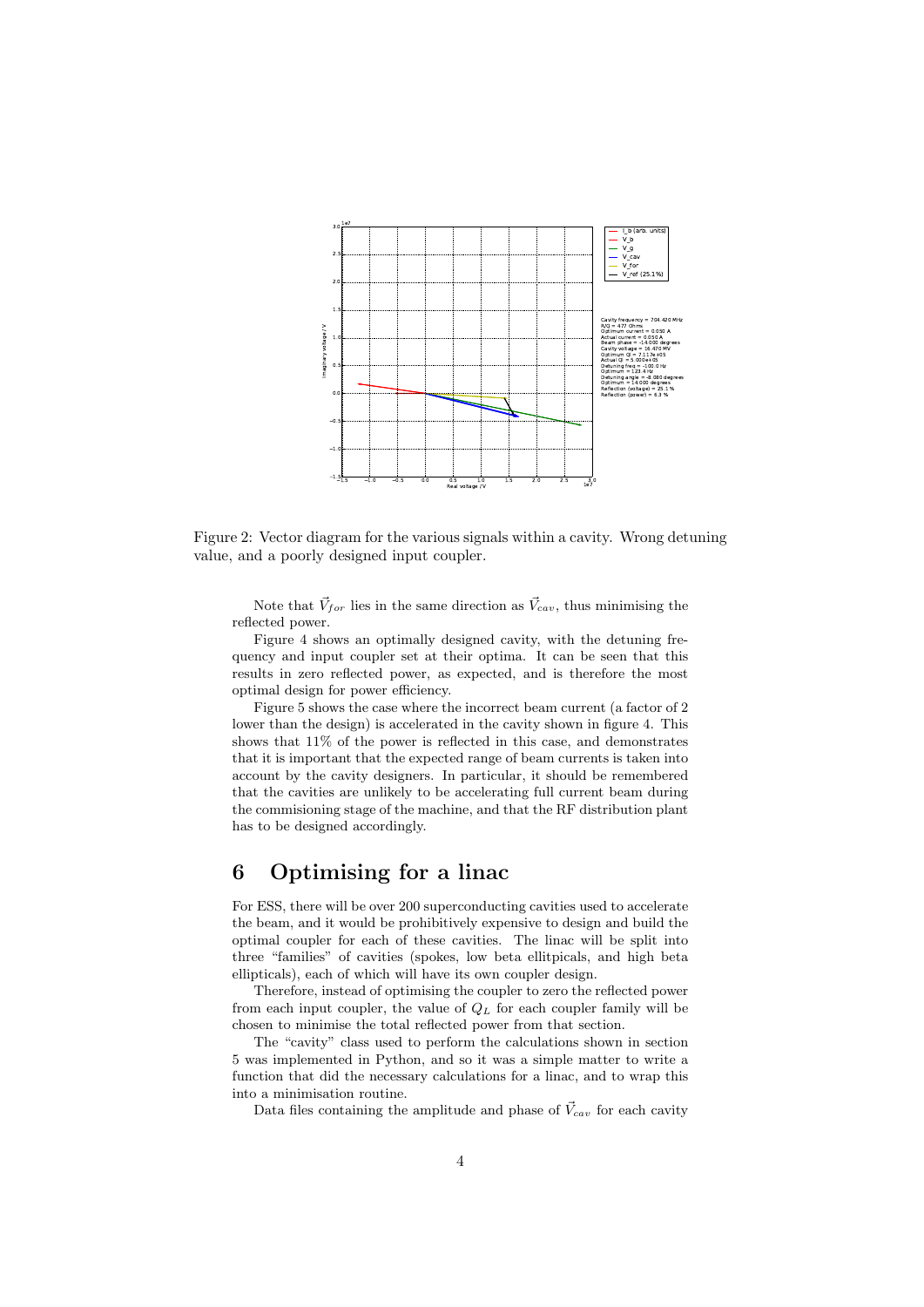

Figure 2: Vector diagram for the various signals within a cavity. Wrong detuning value, and a poorly designed input coupler.

Note that  $\vec{V}_{for}$  lies in the same direction as  $\vec{V}_{cav}$ , thus minimising the reflected power.

Figure 4 shows an optimally designed cavity, with the detuning frequency and input coupler set at their optima. It can be seen that this results in zero reflected power, as expected, and is therefore the most optimal design for power efficiency.

Figure 5 shows the case where the incorrect beam current (a factor of 2 lower than the design) is accelerated in the cavity shown in figure 4. This shows that 11% of the power is reflected in this case, and demonstrates that it is important that the expected range of beam currents is taken into account by the cavity designers. In particular, it should be remembered that the cavities are unlikely to be accelerating full current beam during the commisioning stage of the machine, and that the RF distribution plant has to be designed accordingly.

# 6 Optimising for a linac

For ESS, there will be over 200 superconducting cavities used to accelerate the beam, and it would be prohibitively expensive to design and build the optimal coupler for each of these cavities. The linac will be split into three "families" of cavities (spokes, low beta ellitpicals, and high beta ellipticals), each of which will have its own coupler design.

Therefore, instead of optimising the coupler to zero the reflected power from each input coupler, the value of  $Q_L$  for each coupler family will be chosen to minimise the total reflected power from that section.

The "cavity" class used to perform the calculations shown in section 5 was implemented in Python, and so it was a simple matter to write a function that did the necessary calculations for a linac, and to wrap this into a minimisation routine.

Data files containing the amplitude and phase of  $\vec{V}_{cav}$  for each cavity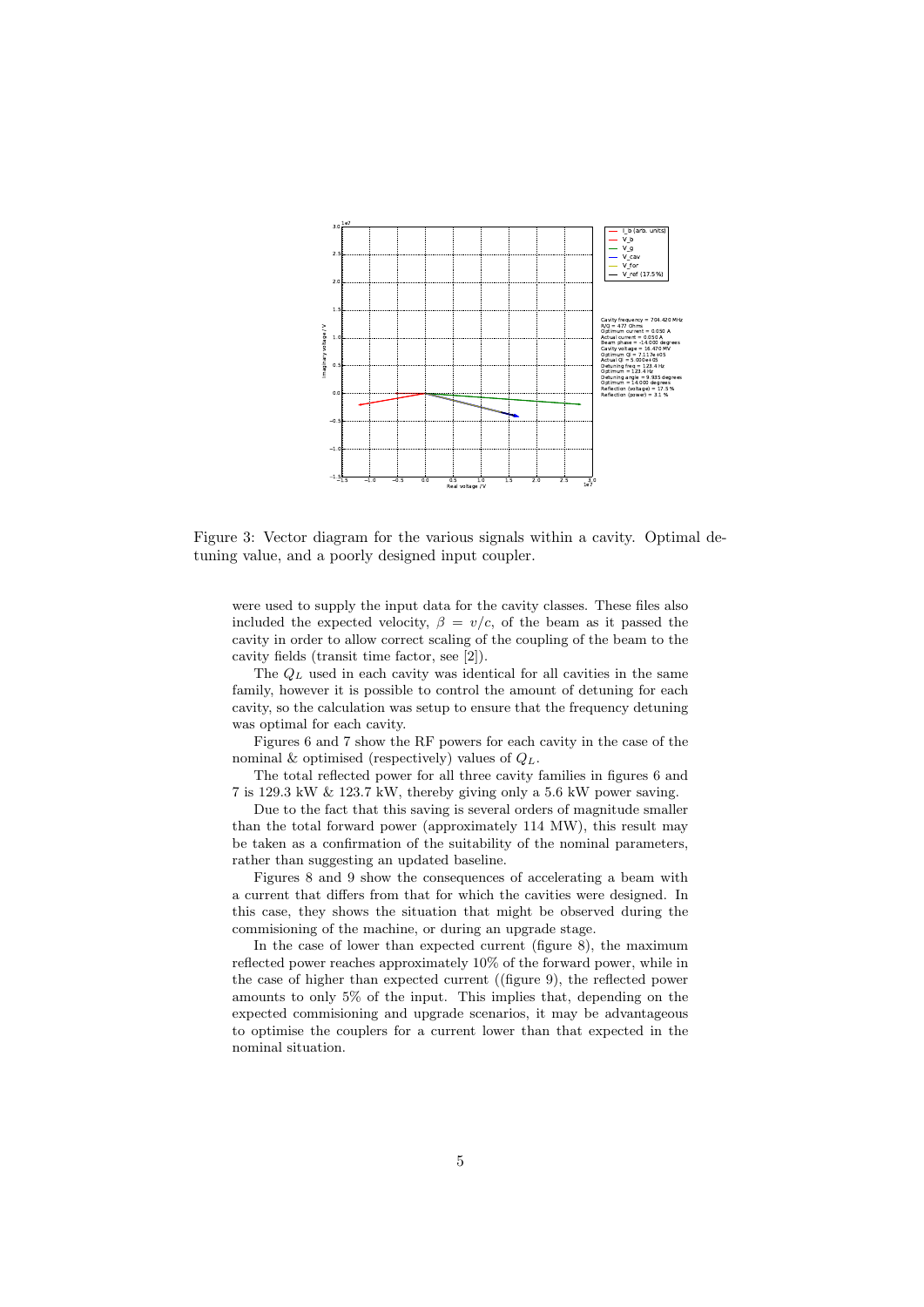

Figure 3: Vector diagram for the various signals within a cavity. Optimal detuning value, and a poorly designed input coupler.

were used to supply the input data for the cavity classes. These files also included the expected velocity,  $\beta = v/c$ , of the beam as it passed the cavity in order to allow correct scaling of the coupling of the beam to the cavity fields (transit time factor, see [2]).

The  $Q_L$  used in each cavity was identical for all cavities in the same family, however it is possible to control the amount of detuning for each cavity, so the calculation was setup to ensure that the frequency detuning was optimal for each cavity.

Figures 6 and 7 show the RF powers for each cavity in the case of the nominal & optimised (respectively) values of  $Q_L$ .

The total reflected power for all three cavity families in figures 6 and 7 is 129.3 kW & 123.7 kW, thereby giving only a 5.6 kW power saving.

Due to the fact that this saving is several orders of magnitude smaller than the total forward power (approximately 114 MW), this result may be taken as a confirmation of the suitability of the nominal parameters, rather than suggesting an updated baseline.

Figures 8 and 9 show the consequences of accelerating a beam with a current that differs from that for which the cavities were designed. In this case, they shows the situation that might be observed during the commisioning of the machine, or during an upgrade stage.

In the case of lower than expected current (figure 8), the maximum reflected power reaches approximately 10% of the forward power, while in the case of higher than expected current ((figure 9), the reflected power amounts to only 5% of the input. This implies that, depending on the expected commisioning and upgrade scenarios, it may be advantageous to optimise the couplers for a current lower than that expected in the nominal situation.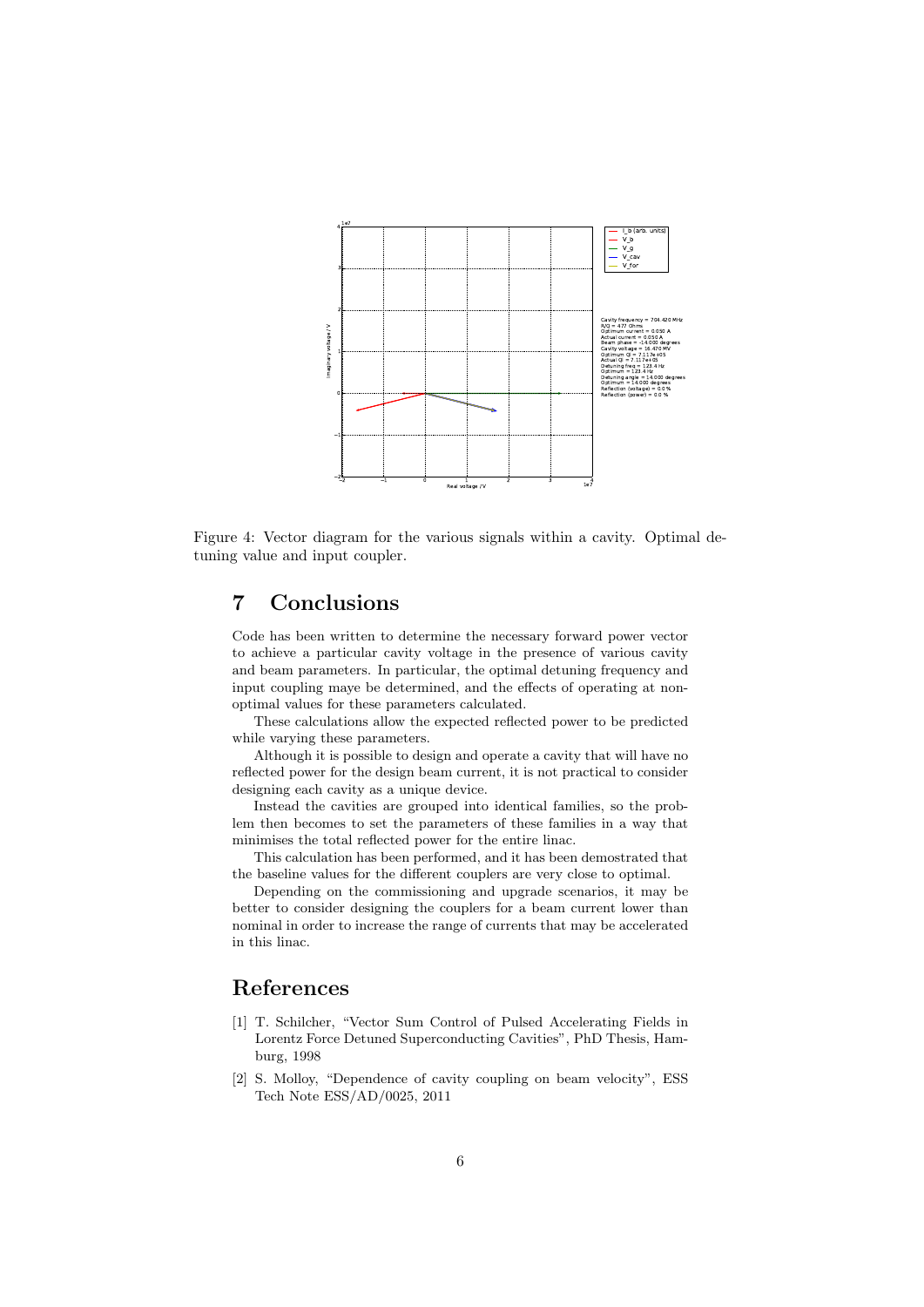

Figure 4: Vector diagram for the various signals within a cavity. Optimal detuning value and input coupler.

# 7 Conclusions

Code has been written to determine the necessary forward power vector to achieve a particular cavity voltage in the presence of various cavity and beam parameters. In particular, the optimal detuning frequency and input coupling maye be determined, and the effects of operating at nonoptimal values for these parameters calculated.

These calculations allow the expected reflected power to be predicted while varying these parameters.

Although it is possible to design and operate a cavity that will have no reflected power for the design beam current, it is not practical to consider designing each cavity as a unique device.

Instead the cavities are grouped into identical families, so the problem then becomes to set the parameters of these families in a way that minimises the total reflected power for the entire linac.

This calculation has been performed, and it has been demostrated that the baseline values for the different couplers are very close to optimal.

Depending on the commissioning and upgrade scenarios, it may be better to consider designing the couplers for a beam current lower than nominal in order to increase the range of currents that may be accelerated in this linac.

# References

- [1] T. Schilcher, "Vector Sum Control of Pulsed Accelerating Fields in Lorentz Force Detuned Superconducting Cavities", PhD Thesis, Hamburg, 1998
- [2] S. Molloy, "Dependence of cavity coupling on beam velocity", ESS Tech Note ESS/AD/0025, 2011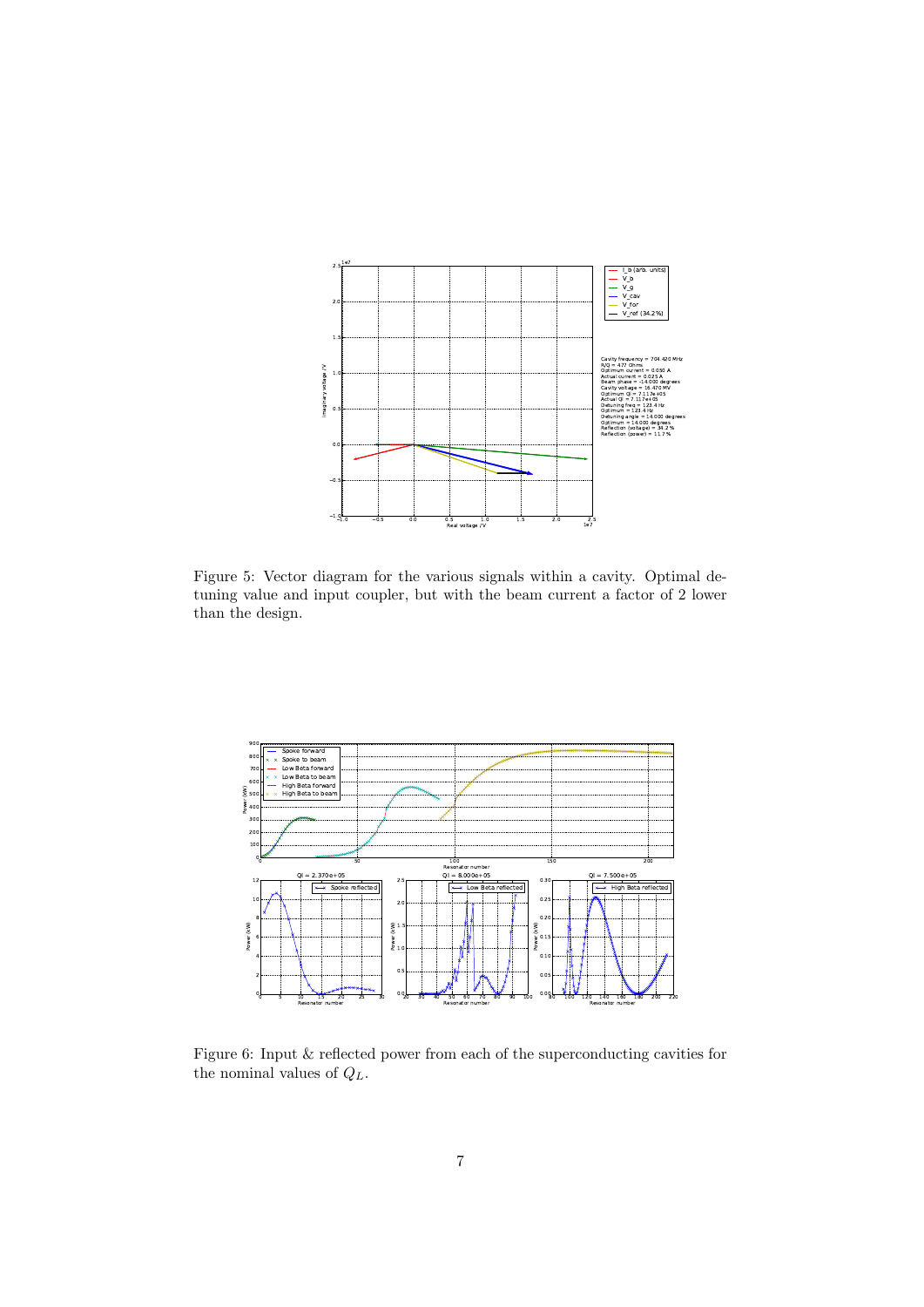

Figure 5: Vector diagram for the various signals within a cavity. Optimal detuning value and input coupler, but with the beam current a factor of 2 lower than the design.



Figure 6: Input & reflected power from each of the superconducting cavities for the nominal values of  $\mathcal{Q}_L.$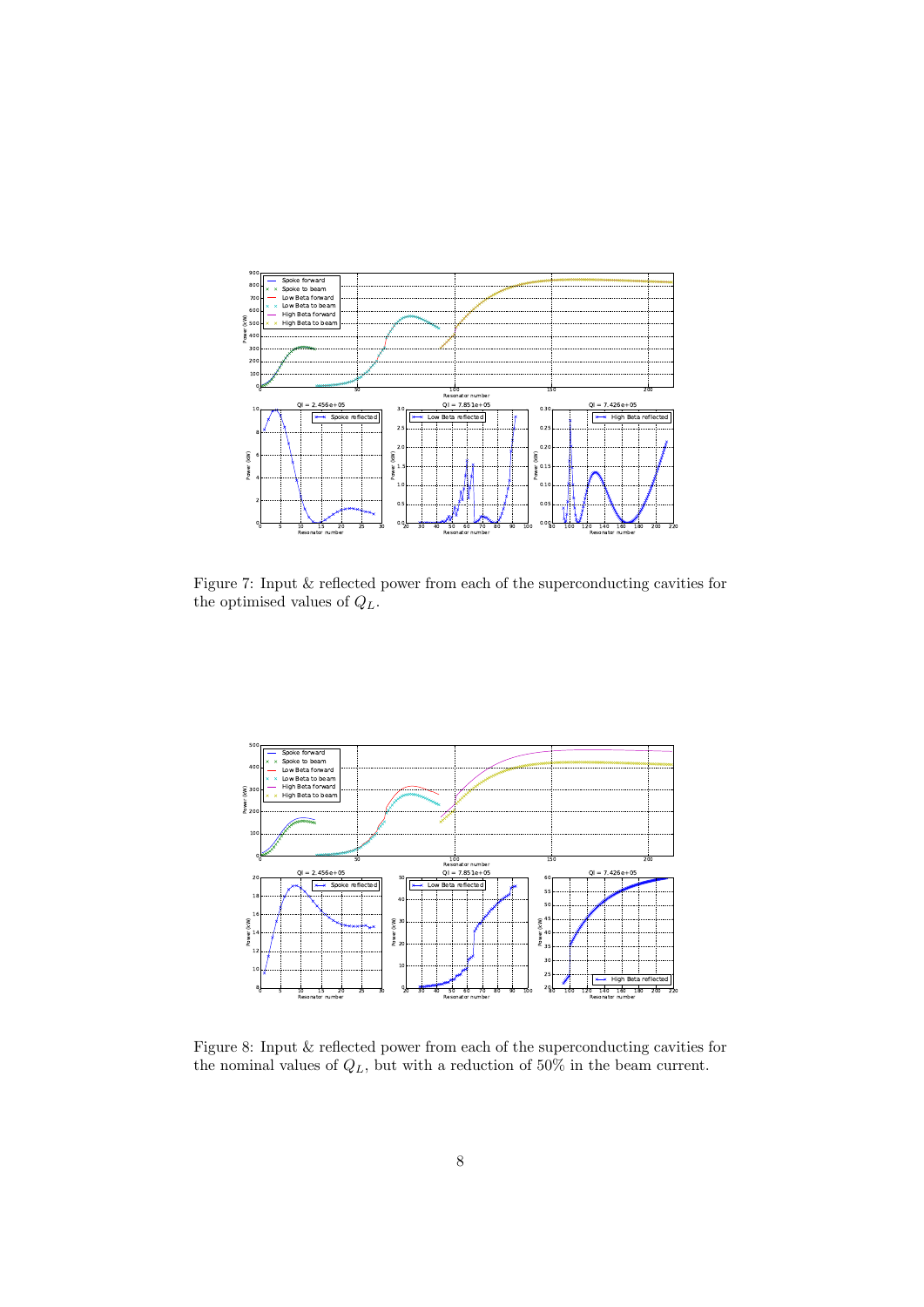

Figure 7: Input & reflected power from each of the superconducting cavities for the optimised values of  $\mathbb{Q}_L.$ 



Figure 8: Input & reflected power from each of the superconducting cavities for the nominal values of  $Q_L$ , but with a reduction of 50% in the beam current.